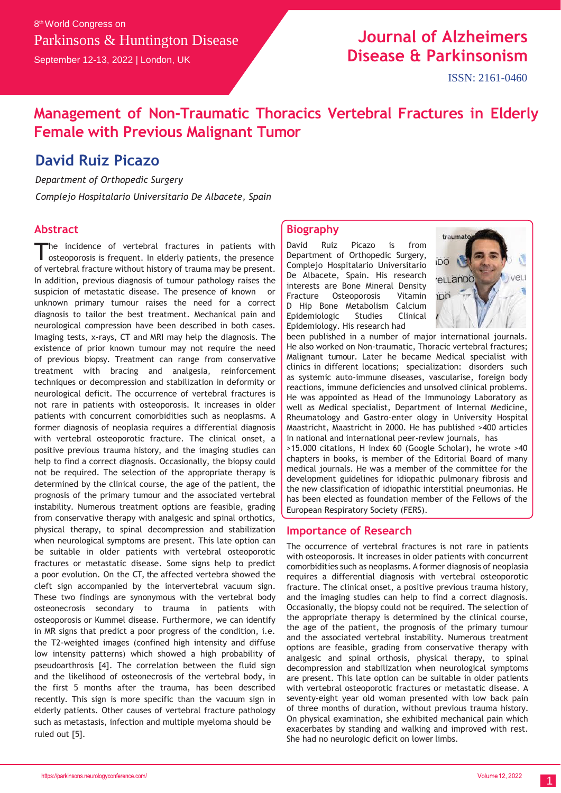# **Journal of Alzheimers Disease & Parkinsonism**

## **Management of Non-Traumatic Thoracics Vertebral Fractures in Elderly Female with Previous Malignant Tumor**

## **David Ruiz Picazo**

*Department of Orthopedic Surgery*

*Complejo Hospitalario Universitario De Albacete, Spain*

### **Abstract**

he incidence of vertebral fractures in patients with osteoporosis is frequent. In elderly patients, the presence of vertebral fracture without history of trauma may be present. In addition, previous diagnosis of tumour pathology raises the suspicion of metastatic disease. The presence of known or unknown primary tumour raises the need for a correct diagnosis to tailor the best treatment. Mechanical pain and neurological compression have been described in both cases. Imaging tests, x-rays, CT and MRI may help the diagnosis. The existence of prior known tumour may not require the need of previous biopsy. Treatment can range from conservative treatment with bracing and analgesia, reinforcement techniques or decompression and stabilization in deformity or neurological deficit. The occurrence of vertebral fractures is not rare in patients with osteoporosis. It increases in older patients with concurrent comorbidities such as neoplasms. A former diagnosis of neoplasia requires a differential diagnosis with vertebral osteoporotic fracture. The clinical onset, a positive previous trauma history, and the imaging studies can help to find a correct diagnosis. Occasionally, the biopsy could not be required. The selection of the appropriate therapy is determined by the clinical course, the age of the patient, the prognosis of the primary tumour and the associated vertebral instability. Numerous treatment options are feasible, grading from conservative therapy with analgesic and spinal orthotics, physical therapy, to spinal decompression and stabilization when neurological symptoms are present. This late option can be suitable in older patients with vertebral osteoporotic fractures or metastatic disease. Some signs help to predict a poor evolution. On the CT, the affected vertebra showed the cleft sign accompanied by the intervertebral vacuum sign. These two findings are synonymous with the vertebral body osteonecrosis secondary to trauma in patients with osteoporosis or Kummel disease. Furthermore, we can identify in MR signs that predict a poor progress of the condition, i.e. the T2-weighted images (confined high intensity and diffuse low intensity patterns) which showed a high probability of pseudoarthrosis [4]. The correlation between the fluid sign and the likelihood of osteonecrosis of the vertebral body, in the first 5 months after the trauma, has been described recently. This sign is more specific than the vacuum sign in elderly patients. Other causes of vertebral fracture pathology such as metastasis, infection and multiple myeloma should be ruled out [5].

### **Biography**

David Ruiz Picazo is from Department of Orthopedic Surgery, Complejo Hospitalario Universitario De Albacete, Spain. His research interests are Bone Mineral Density Fracture Osteoporosis Vitamin D Hip Bone Metabolism Calcium Epidemiologic Studies Clinical Epidemiology. His research had



been published in a number of major international journals. He also worked on Non-traumatic, Thoracic vertebral fractures; Malignant tumour. Later he became Medical specialist with clinics in different locations; specialization: disorders such as systemic auto-immune diseases, vascularise, foreign body reactions, immune deficiencies and unsolved clinical problems. He was appointed as Head of the Immunology Laboratory as well as Medical specialist, Department of Internal Medicine, Rheumatology and Gastro-enter ology in University Hospital Maastricht, Maastricht in 2000. He has published >400 articles in national and international peer-review journals, has >15.000 citations, H index 60 (Google Scholar), he wrote >40 chapters in books, is member of the Editorial Board of many medical journals. He was a member of the committee for the development guidelines for idiopathic pulmonary fibrosis and the new classification of idiopathic interstitial pneumonias. He has been elected as foundation member of the Fellows of the European Respiratory Society (FERS).

#### **Importance of Research**

The occurrence of vertebral fractures is not rare in patients with osteoporosis. It increases in older patients with concurrent comorbidities such as neoplasms. A former diagnosis of neoplasia requires a differential diagnosis with vertebral osteoporotic fracture. The clinical onset, a positive previous trauma history, and the imaging studies can help to find a correct diagnosis. Occasionally, the biopsy could not be required. The selection of the appropriate therapy is determined by the clinical course, the age of the patient, the prognosis of the primary tumour and the associated vertebral instability. Numerous treatment options are feasible, grading from conservative therapy with analgesic and spinal orthosis, physical therapy, to spinal decompression and stabilization when neurological symptoms are present. This late option can be suitable in older patients with vertebral osteoporotic fractures or metastatic disease. A seventy-eight year old woman presented with low back pain of three months of duration, without previous trauma history. On physical examination, she exhibited mechanical pain which exacerbates by standing and walking and improved with rest. She had no neurologic deficit on lower limbs.

1